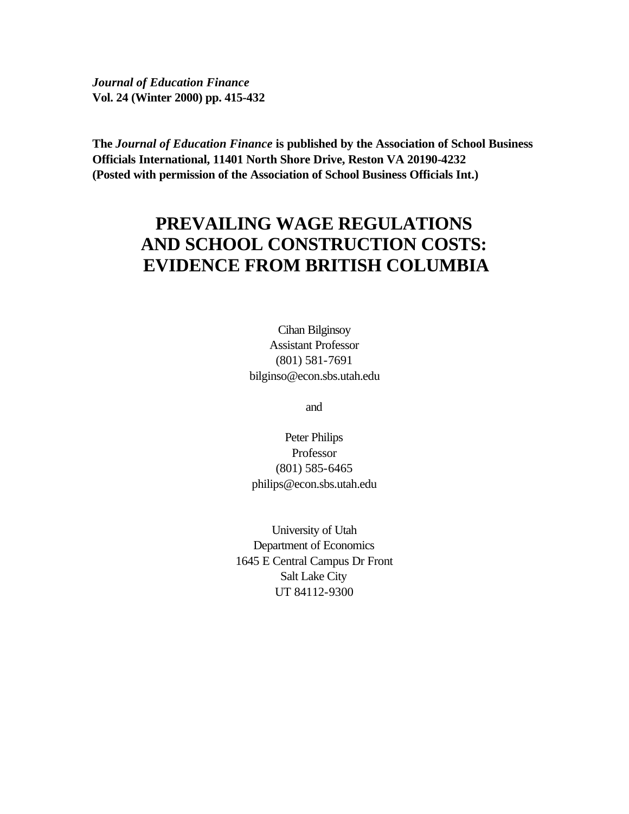*Journal of Education Finance* **Vol. 24 (Winter 2000) pp. 415-432**

**The** *Journal of Education Finance* **is published by the Association of School Business Officials International, 11401 North Shore Drive, Reston VA 20190-4232 (Posted with permission of the Association of School Business Officials Int.)**

# **PREVAILING WAGE REGULATIONS AND SCHOOL CONSTRUCTION COSTS: EVIDENCE FROM BRITISH COLUMBIA**

Cihan Bilginsoy Assistant Professor (801) 581-7691 bilginso@econ.sbs.utah.edu

and

Peter Philips Professor (801) 585-6465 philips@econ.sbs.utah.edu

University of Utah Department of Economics 1645 E Central Campus Dr Front Salt Lake City UT 84112-9300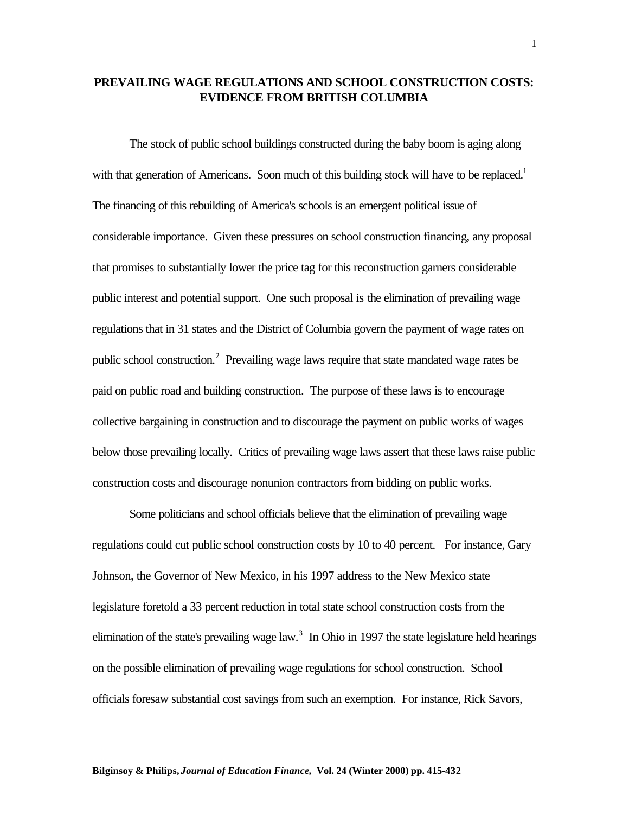# **PREVAILING WAGE REGULATIONS AND SCHOOL CONSTRUCTION COSTS: EVIDENCE FROM BRITISH COLUMBIA**

The stock of public school buildings constructed during the baby boom is aging along with that generation of Americans. Soon much of this building stock will have to be replaced.<sup>1</sup> The financing of this rebuilding of America's schools is an emergent political issue of considerable importance. Given these pressures on school construction financing, any proposal that promises to substantially lower the price tag for this reconstruction garners considerable public interest and potential support. One such proposal is the elimination of prevailing wage regulations that in 31 states and the District of Columbia govern the payment of wage rates on public school construction.<sup>2</sup> Prevailing wage laws require that state mandated wage rates be paid on public road and building construction. The purpose of these laws is to encourage collective bargaining in construction and to discourage the payment on public works of wages below those prevailing locally. Critics of prevailing wage laws assert that these laws raise public construction costs and discourage nonunion contractors from bidding on public works.

Some politicians and school officials believe that the elimination of prevailing wage regulations could cut public school construction costs by 10 to 40 percent. For instance, Gary Johnson, the Governor of New Mexico, in his 1997 address to the New Mexico state legislature foretold a 33 percent reduction in total state school construction costs from the elimination of the state's prevailing wage law.<sup>3</sup> In Ohio in 1997 the state legislature held hearings on the possible elimination of prevailing wage regulations for school construction. School officials foresaw substantial cost savings from such an exemption. For instance, Rick Savors,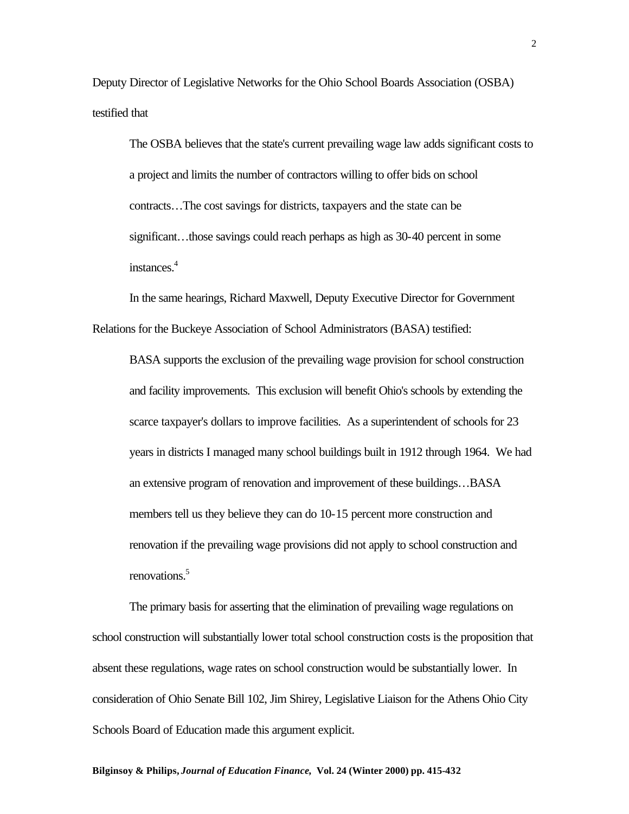Deputy Director of Legislative Networks for the Ohio School Boards Association (OSBA) testified that

The OSBA believes that the state's current prevailing wage law adds significant costs to a project and limits the number of contractors willing to offer bids on school contracts…The cost savings for districts, taxpayers and the state can be significant...those savings could reach perhaps as high as 30-40 percent in some instances.<sup>4</sup>

In the same hearings, Richard Maxwell, Deputy Executive Director for Government Relations for the Buckeye Association of School Administrators (BASA) testified:

BASA supports the exclusion of the prevailing wage provision for school construction and facility improvements. This exclusion will benefit Ohio's schools by extending the scarce taxpayer's dollars to improve facilities. As a superintendent of schools for 23 years in districts I managed many school buildings built in 1912 through 1964. We had an extensive program of renovation and improvement of these buildings…BASA members tell us they believe they can do 10-15 percent more construction and renovation if the prevailing wage provisions did not apply to school construction and renovations.<sup>5</sup>

The primary basis for asserting that the elimination of prevailing wage regulations on school construction will substantially lower total school construction costs is the proposition that absent these regulations, wage rates on school construction would be substantially lower. In consideration of Ohio Senate Bill 102, Jim Shirey, Legislative Liaison for the Athens Ohio City Schools Board of Education made this argument explicit.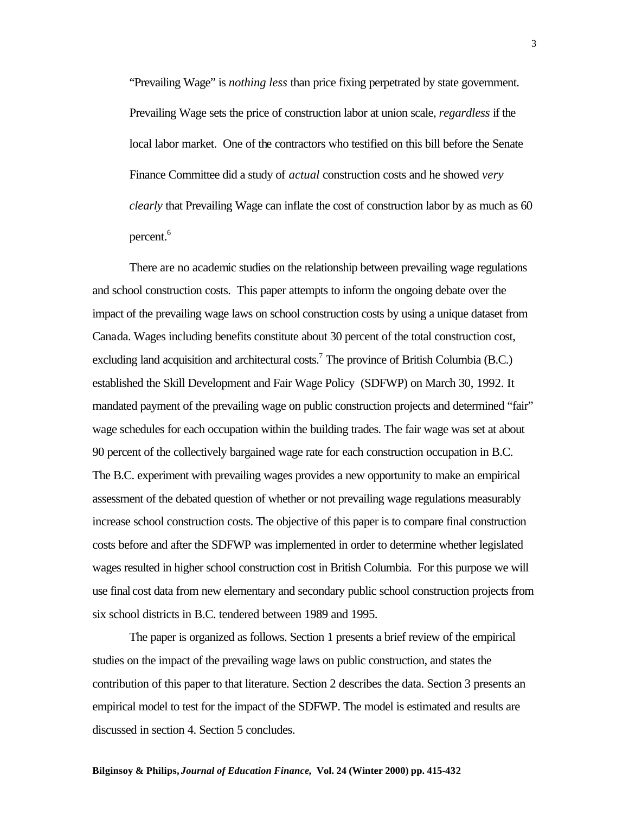"Prevailing Wage" is *nothing less* than price fixing perpetrated by state government. Prevailing Wage sets the price of construction labor at union scale, *regardless* if the local labor market. One of the contractors who testified on this bill before the Senate Finance Committee did a study of *actual* construction costs and he showed *very clearly* that Prevailing Wage can inflate the cost of construction labor by as much as 60 percent.<sup>6</sup>

There are no academic studies on the relationship between prevailing wage regulations and school construction costs. This paper attempts to inform the ongoing debate over the impact of the prevailing wage laws on school construction costs by using a unique dataset from Canada. Wages including benefits constitute about 30 percent of the total construction cost, excluding land acquisition and architectural costs.<sup>7</sup> The province of British Columbia (B.C.) established the Skill Development and Fair Wage Policy (SDFWP) on March 30, 1992. It mandated payment of the prevailing wage on public construction projects and determined "fair" wage schedules for each occupation within the building trades. The fair wage was set at about 90 percent of the collectively bargained wage rate for each construction occupation in B.C. The B.C. experiment with prevailing wages provides a new opportunity to make an empirical assessment of the debated question of whether or not prevailing wage regulations measurably increase school construction costs. The objective of this paper is to compare final construction costs before and after the SDFWP was implemented in order to determine whether legislated wages resulted in higher school construction cost in British Columbia. For this purpose we will use final cost data from new elementary and secondary public school construction projects from six school districts in B.C. tendered between 1989 and 1995.

The paper is organized as follows. Section 1 presents a brief review of the empirical studies on the impact of the prevailing wage laws on public construction, and states the contribution of this paper to that literature. Section 2 describes the data. Section 3 presents an empirical model to test for the impact of the SDFWP. The model is estimated and results are discussed in section 4. Section 5 concludes.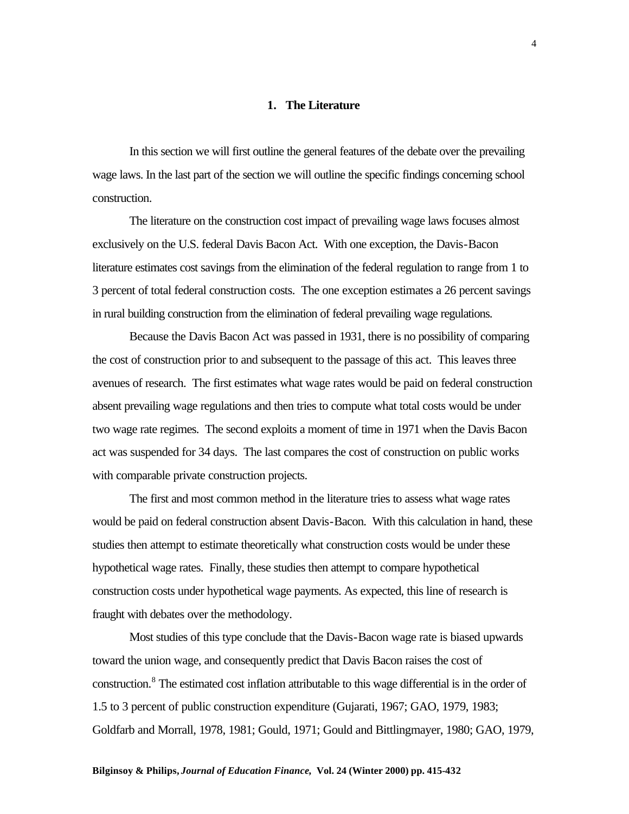#### **1. The Literature**

In this section we will first outline the general features of the debate over the prevailing wage laws. In the last part of the section we will outline the specific findings concerning school construction.

The literature on the construction cost impact of prevailing wage laws focuses almost exclusively on the U.S. federal Davis Bacon Act. With one exception, the Davis-Bacon literature estimates cost savings from the elimination of the federal regulation to range from 1 to 3 percent of total federal construction costs. The one exception estimates a 26 percent savings in rural building construction from the elimination of federal prevailing wage regulations.

Because the Davis Bacon Act was passed in 1931, there is no possibility of comparing the cost of construction prior to and subsequent to the passage of this act. This leaves three avenues of research. The first estimates what wage rates would be paid on federal construction absent prevailing wage regulations and then tries to compute what total costs would be under two wage rate regimes. The second exploits a moment of time in 1971 when the Davis Bacon act was suspended for 34 days. The last compares the cost of construction on public works with comparable private construction projects.

The first and most common method in the literature tries to assess what wage rates would be paid on federal construction absent Davis-Bacon. With this calculation in hand, these studies then attempt to estimate theoretically what construction costs would be under these hypothetical wage rates. Finally, these studies then attempt to compare hypothetical construction costs under hypothetical wage payments. As expected, this line of research is fraught with debates over the methodology.

Most studies of this type conclude that the Davis-Bacon wage rate is biased upwards toward the union wage, and consequently predict that Davis Bacon raises the cost of construction.<sup>8</sup> The estimated cost inflation attributable to this wage differential is in the order of 1.5 to 3 percent of public construction expenditure (Gujarati, 1967; GAO, 1979, 1983; Goldfarb and Morrall, 1978, 1981; Gould, 1971; Gould and Bittlingmayer, 1980; GAO, 1979,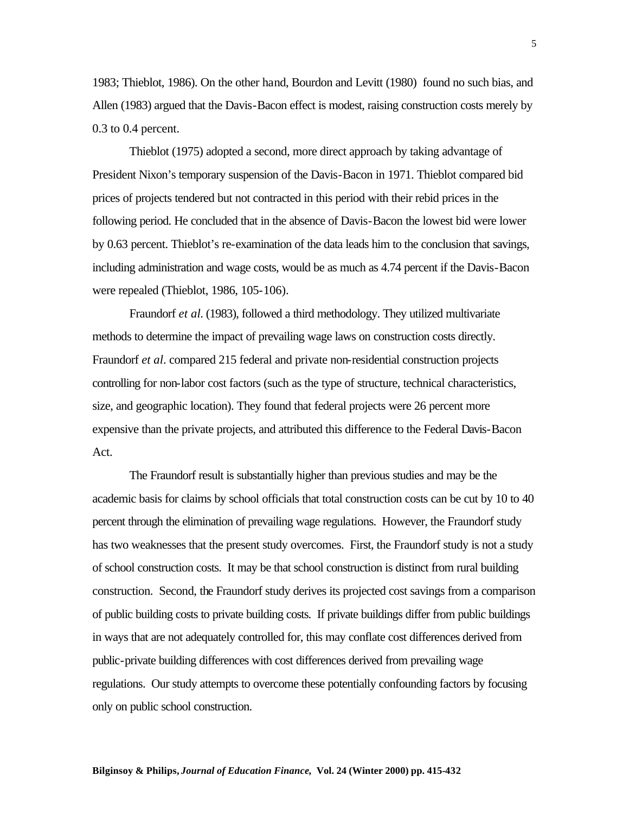1983; Thieblot, 1986). On the other hand, Bourdon and Levitt (1980) found no such bias, and Allen (1983) argued that the Davis-Bacon effect is modest, raising construction costs merely by 0.3 to 0.4 percent.

Thieblot (1975) adopted a second, more direct approach by taking advantage of President Nixon's temporary suspension of the Davis-Bacon in 1971. Thieblot compared bid prices of projects tendered but not contracted in this period with their rebid prices in the following period. He concluded that in the absence of Davis-Bacon the lowest bid were lower by 0.63 percent. Thieblot's re-examination of the data leads him to the conclusion that savings, including administration and wage costs, would be as much as 4.74 percent if the Davis-Bacon were repealed (Thieblot, 1986, 105-106).

Fraundorf *et al*. (1983), followed a third methodology. They utilized multivariate methods to determine the impact of prevailing wage laws on construction costs directly. Fraundorf *et al*. compared 215 federal and private non-residential construction projects controlling for non-labor cost factors (such as the type of structure, technical characteristics, size, and geographic location). They found that federal projects were 26 percent more expensive than the private projects, and attributed this difference to the Federal Davis-Bacon Act.

The Fraundorf result is substantially higher than previous studies and may be the academic basis for claims by school officials that total construction costs can be cut by 10 to 40 percent through the elimination of prevailing wage regulations. However, the Fraundorf study has two weaknesses that the present study overcomes. First, the Fraundorf study is not a study of school construction costs. It may be that school construction is distinct from rural building construction. Second, the Fraundorf study derives its projected cost savings from a comparison of public building costs to private building costs. If private buildings differ from public buildings in ways that are not adequately controlled for, this may conflate cost differences derived from public-private building differences with cost differences derived from prevailing wage regulations. Our study attempts to overcome these potentially confounding factors by focusing only on public school construction.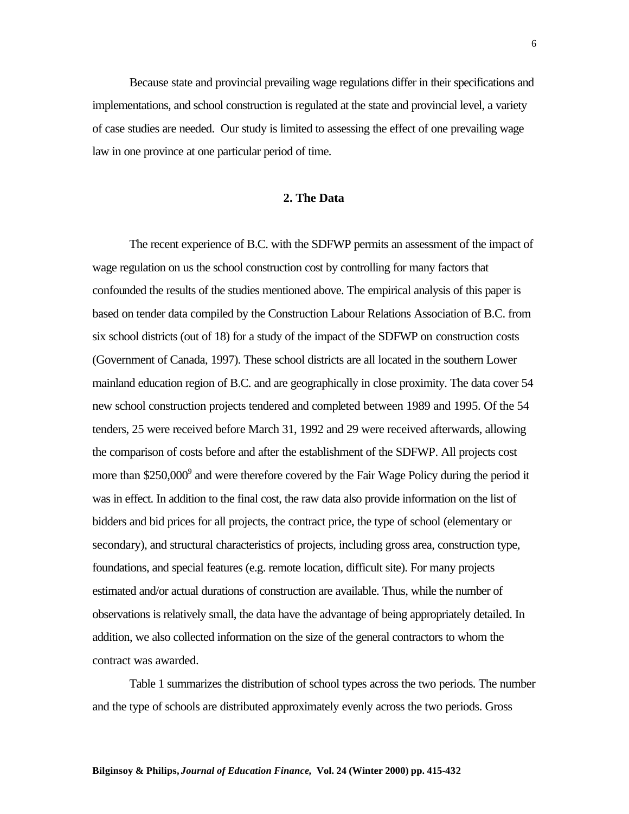Because state and provincial prevailing wage regulations differ in their specifications and implementations, and school construction is regulated at the state and provincial level, a variety of case studies are needed. Our study is limited to assessing the effect of one prevailing wage law in one province at one particular period of time.

#### **2. The Data**

The recent experience of B.C. with the SDFWP permits an assessment of the impact of wage regulation on us the school construction cost by controlling for many factors that confounded the results of the studies mentioned above. The empirical analysis of this paper is based on tender data compiled by the Construction Labour Relations Association of B.C. from six school districts (out of 18) for a study of the impact of the SDFWP on construction costs (Government of Canada, 1997). These school districts are all located in the southern Lower mainland education region of B.C. and are geographically in close proximity. The data cover 54 new school construction projects tendered and completed between 1989 and 1995. Of the 54 tenders, 25 were received before March 31, 1992 and 29 were received afterwards, allowing the comparison of costs before and after the establishment of the SDFWP. All projects cost more than \$250,000<sup>9</sup> and were therefore covered by the Fair Wage Policy during the period it was in effect. In addition to the final cost, the raw data also provide information on the list of bidders and bid prices for all projects, the contract price, the type of school (elementary or secondary), and structural characteristics of projects, including gross area, construction type, foundations, and special features (e.g. remote location, difficult site). For many projects estimated and/or actual durations of construction are available. Thus, while the number of observations is relatively small, the data have the advantage of being appropriately detailed. In addition, we also collected information on the size of the general contractors to whom the contract was awarded.

Table 1 summarizes the distribution of school types across the two periods. The number and the type of schools are distributed approximately evenly across the two periods. Gross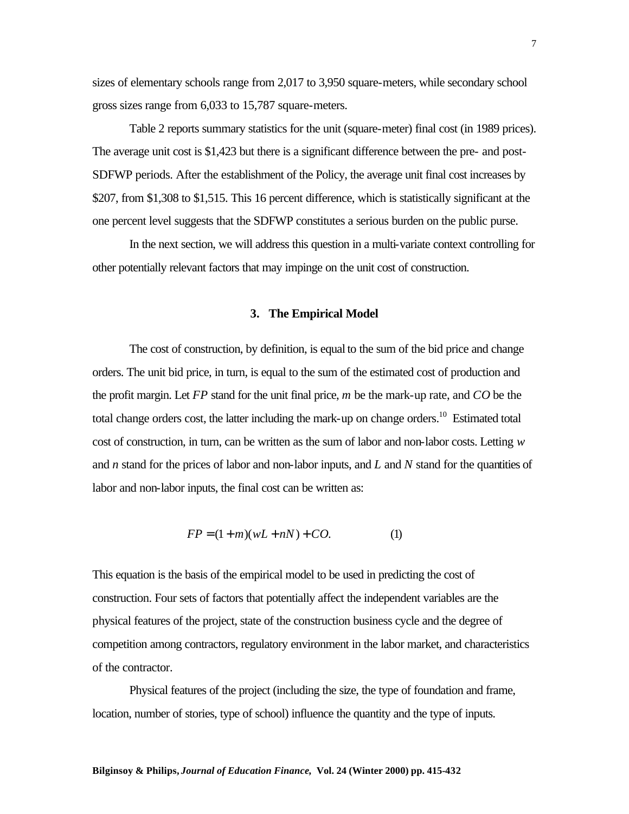sizes of elementary schools range from 2,017 to 3,950 square-meters, while secondary school gross sizes range from 6,033 to 15,787 square-meters.

Table 2 reports summary statistics for the unit (square-meter) final cost (in 1989 prices). The average unit cost is \$1,423 but there is a significant difference between the pre- and post-SDFWP periods. After the establishment of the Policy, the average unit final cost increases by \$207, from \$1,308 to \$1,515. This 16 percent difference, which is statistically significant at the one percent level suggests that the SDFWP constitutes a serious burden on the public purse.

In the next section, we will address this question in a multi-variate context controlling for other potentially relevant factors that may impinge on the unit cost of construction.

#### **3. The Empirical Model**

The cost of construction, by definition, is equal to the sum of the bid price and change orders. The unit bid price, in turn, is equal to the sum of the estimated cost of production and the profit margin. Let *FP* stand for the unit final price, *m* be the mark-up rate, and *CO* be the total change orders cost, the latter including the mark-up on change orders.<sup>10</sup> Estimated total cost of construction, in turn, can be written as the sum of labor and non-labor costs. Letting *w* and *n* stand for the prices of labor and non-labor inputs, and *L* and *N* stand for the quantities of labor and non-labor inputs, the final cost can be written as:

$$
FP = (1+m)(wL+nN) + CO.
$$
 (1)

This equation is the basis of the empirical model to be used in predicting the cost of construction. Four sets of factors that potentially affect the independent variables are the physical features of the project, state of the construction business cycle and the degree of competition among contractors, regulatory environment in the labor market, and characteristics of the contractor.

Physical features of the project (including the size, the type of foundation and frame, location, number of stories, type of school) influence the quantity and the type of inputs.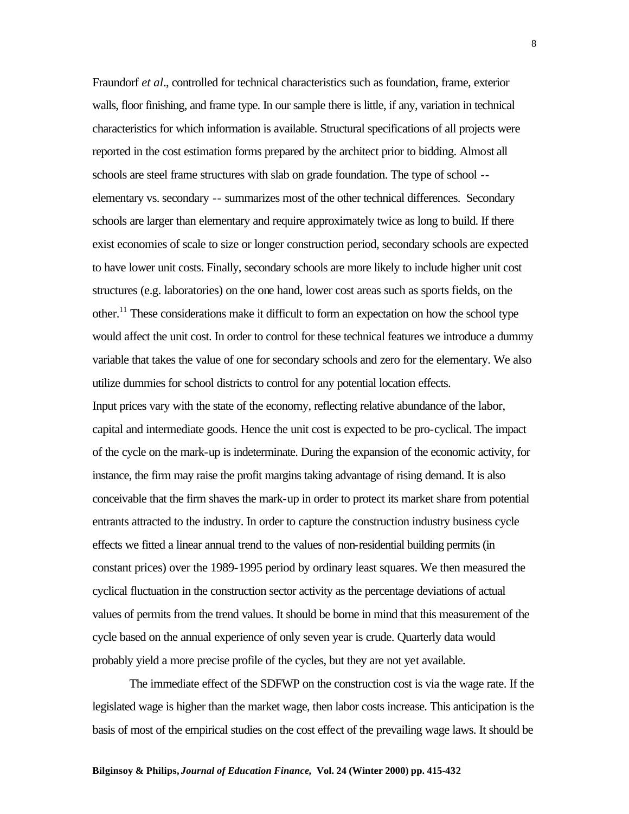Fraundorf *et al*., controlled for technical characteristics such as foundation, frame, exterior walls, floor finishing, and frame type. In our sample there is little, if any, variation in technical characteristics for which information is available. Structural specifications of all projects were reported in the cost estimation forms prepared by the architect prior to bidding. Almost all schools are steel frame structures with slab on grade foundation. The type of school - elementary vs. secondary -- summarizes most of the other technical differences. Secondary schools are larger than elementary and require approximately twice as long to build. If there exist economies of scale to size or longer construction period, secondary schools are expected to have lower unit costs. Finally, secondary schools are more likely to include higher unit cost structures (e.g. laboratories) on the one hand, lower cost areas such as sports fields, on the other.<sup>11</sup> These considerations make it difficult to form an expectation on how the school type would affect the unit cost. In order to control for these technical features we introduce a dummy variable that takes the value of one for secondary schools and zero for the elementary. We also utilize dummies for school districts to control for any potential location effects.

Input prices vary with the state of the economy, reflecting relative abundance of the labor, capital and intermediate goods. Hence the unit cost is expected to be pro-cyclical. The impact of the cycle on the mark-up is indeterminate. During the expansion of the economic activity, for instance, the firm may raise the profit margins taking advantage of rising demand. It is also conceivable that the firm shaves the mark-up in order to protect its market share from potential entrants attracted to the industry. In order to capture the construction industry business cycle effects we fitted a linear annual trend to the values of non-residential building permits (in constant prices) over the 1989-1995 period by ordinary least squares. We then measured the cyclical fluctuation in the construction sector activity as the percentage deviations of actual values of permits from the trend values. It should be borne in mind that this measurement of the cycle based on the annual experience of only seven year is crude. Quarterly data would probably yield a more precise profile of the cycles, but they are not yet available.

The immediate effect of the SDFWP on the construction cost is via the wage rate. If the legislated wage is higher than the market wage, then labor costs increase. This anticipation is the basis of most of the empirical studies on the cost effect of the prevailing wage laws. It should be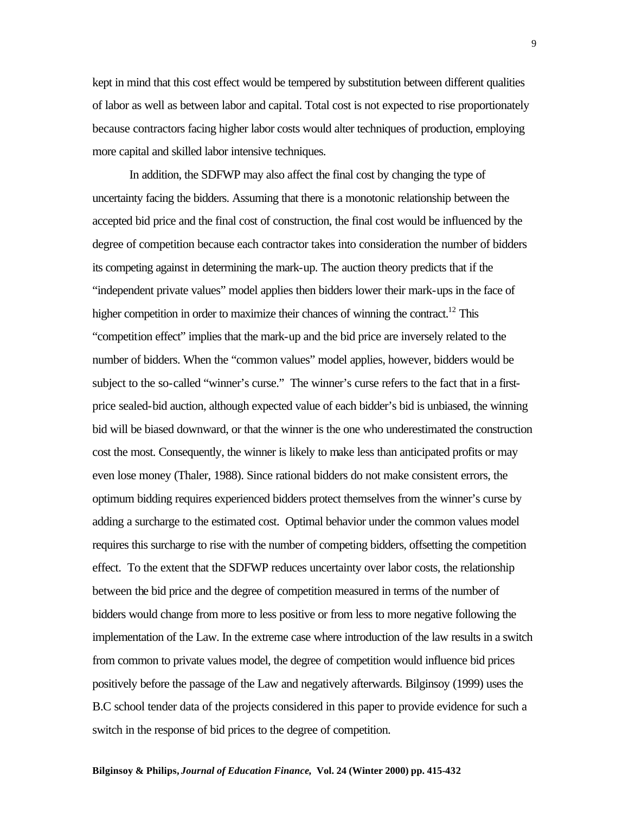kept in mind that this cost effect would be tempered by substitution between different qualities of labor as well as between labor and capital. Total cost is not expected to rise proportionately because contractors facing higher labor costs would alter techniques of production, employing more capital and skilled labor intensive techniques.

In addition, the SDFWP may also affect the final cost by changing the type of uncertainty facing the bidders. Assuming that there is a monotonic relationship between the accepted bid price and the final cost of construction, the final cost would be influenced by the degree of competition because each contractor takes into consideration the number of bidders its competing against in determining the mark-up. The auction theory predicts that if the "independent private values" model applies then bidders lower their mark-ups in the face of higher competition in order to maximize their chances of winning the contract.<sup>12</sup> This "competition effect" implies that the mark-up and the bid price are inversely related to the number of bidders. When the "common values" model applies, however, bidders would be subject to the so-called "winner's curse." The winner's curse refers to the fact that in a firstprice sealed-bid auction, although expected value of each bidder's bid is unbiased, the winning bid will be biased downward, or that the winner is the one who underestimated the construction cost the most. Consequently, the winner is likely to make less than anticipated profits or may even lose money (Thaler, 1988). Since rational bidders do not make consistent errors, the optimum bidding requires experienced bidders protect themselves from the winner's curse by adding a surcharge to the estimated cost. Optimal behavior under the common values model requires this surcharge to rise with the number of competing bidders, offsetting the competition effect. To the extent that the SDFWP reduces uncertainty over labor costs, the relationship between the bid price and the degree of competition measured in terms of the number of bidders would change from more to less positive or from less to more negative following the implementation of the Law. In the extreme case where introduction of the law results in a switch from common to private values model, the degree of competition would influence bid prices positively before the passage of the Law and negatively afterwards. Bilginsoy (1999) uses the B.C school tender data of the projects considered in this paper to provide evidence for such a switch in the response of bid prices to the degree of competition.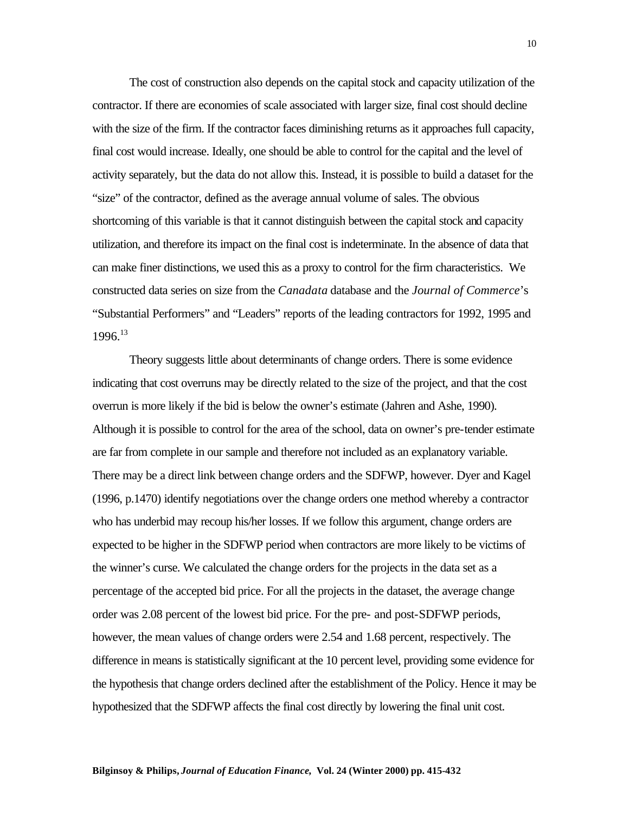The cost of construction also depends on the capital stock and capacity utilization of the contractor. If there are economies of scale associated with larger size, final cost should decline with the size of the firm. If the contractor faces diminishing returns as it approaches full capacity, final cost would increase. Ideally, one should be able to control for the capital and the level of activity separately, but the data do not allow this. Instead, it is possible to build a dataset for the "size" of the contractor, defined as the average annual volume of sales. The obvious shortcoming of this variable is that it cannot distinguish between the capital stock and capacity utilization, and therefore its impact on the final cost is indeterminate. In the absence of data that can make finer distinctions, we used this as a proxy to control for the firm characteristics. We constructed data series on size from the *Canadata* database and the *Journal of Commerce*'s "Substantial Performers" and "Leaders" reports of the leading contractors for 1992, 1995 and 1996.<sup>13</sup>

Theory suggests little about determinants of change orders. There is some evidence indicating that cost overruns may be directly related to the size of the project, and that the cost overrun is more likely if the bid is below the owner's estimate (Jahren and Ashe, 1990). Although it is possible to control for the area of the school, data on owner's pre-tender estimate are far from complete in our sample and therefore not included as an explanatory variable. There may be a direct link between change orders and the SDFWP, however. Dyer and Kagel (1996, p.1470) identify negotiations over the change orders one method whereby a contractor who has underbid may recoup his/her losses. If we follow this argument, change orders are expected to be higher in the SDFWP period when contractors are more likely to be victims of the winner's curse. We calculated the change orders for the projects in the data set as a percentage of the accepted bid price. For all the projects in the dataset, the average change order was 2.08 percent of the lowest bid price. For the pre- and post-SDFWP periods, however, the mean values of change orders were 2.54 and 1.68 percent, respectively. The difference in means is statistically significant at the 10 percent level, providing some evidence for the hypothesis that change orders declined after the establishment of the Policy. Hence it may be hypothesized that the SDFWP affects the final cost directly by lowering the final unit cost.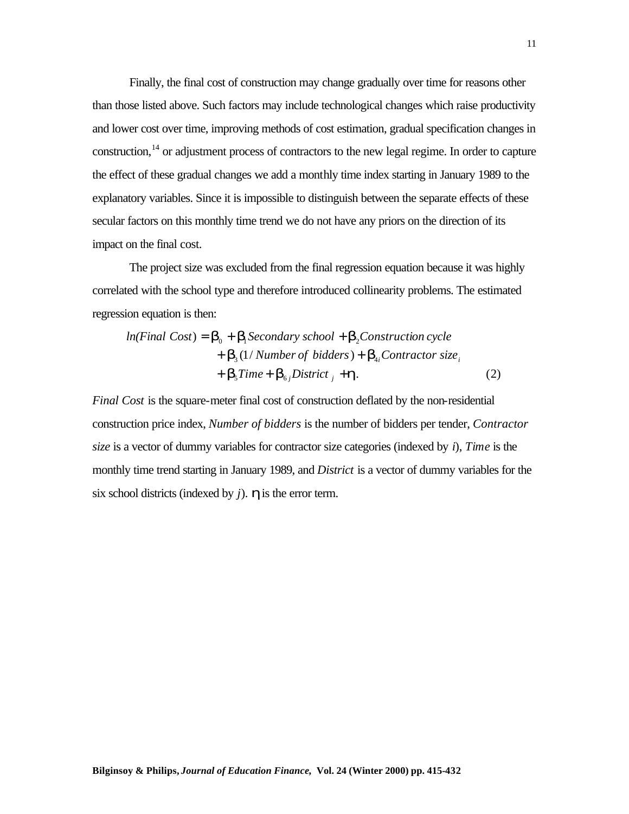Finally, the final cost of construction may change gradually over time for reasons other than those listed above. Such factors may include technological changes which raise productivity and lower cost over time, improving methods of cost estimation, gradual specification changes in construction, $14$  or adjustment process of contractors to the new legal regime. In order to capture the effect of these gradual changes we add a monthly time index starting in January 1989 to the explanatory variables. Since it is impossible to distinguish between the separate effects of these secular factors on this monthly time trend we do not have any priors on the direction of its impact on the final cost.

The project size was excluded from the final regression equation because it was highly correlated with the school type and therefore introduced collinearity problems. The estimated regression equation is then:

$$
ln(Final Cost) = \mathbf{b}_0 + \mathbf{b}_1
$$
Secondary school +  $\mathbf{b}_2$ Construction cycle  
+  $\mathbf{b}_3$  (1/*Number of bidders*) +  $\mathbf{b}_{4i}$  Contractor size<sub>i</sub>  
+  $\mathbf{b}_5$ Time +  $\mathbf{b}_{6j}$  District  $j$  +  $\mathbf{h}$ . (2)

*Final Cost* is the square-meter final cost of construction deflated by the non-residential construction price index, *Number of bidders* is the number of bidders per tender, *Contractor size* is a vector of dummy variables for contractor size categories (indexed by *i*), *Time* is the monthly time trend starting in January 1989, and *District* is a vector of dummy variables for the six school districts (indexed by *j*). *h* is the error term.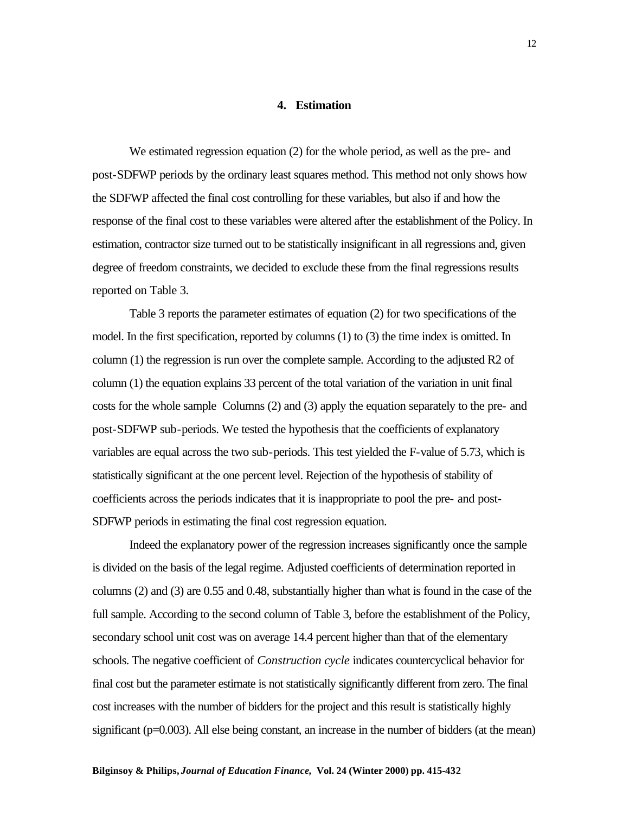#### **4. Estimation**

We estimated regression equation (2) for the whole period, as well as the pre- and post-SDFWP periods by the ordinary least squares method. This method not only shows how the SDFWP affected the final cost controlling for these variables, but also if and how the response of the final cost to these variables were altered after the establishment of the Policy. In estimation, contractor size turned out to be statistically insignificant in all regressions and, given degree of freedom constraints, we decided to exclude these from the final regressions results reported on Table 3.

Table 3 reports the parameter estimates of equation (2) for two specifications of the model. In the first specification, reported by columns (1) to (3) the time index is omitted. In column (1) the regression is run over the complete sample. According to the adjusted R2 of column (1) the equation explains 33 percent of the total variation of the variation in unit final costs for the whole sample Columns (2) and (3) apply the equation separately to the pre- and post-SDFWP sub-periods. We tested the hypothesis that the coefficients of explanatory variables are equal across the two sub-periods. This test yielded the F-value of 5.73, which is statistically significant at the one percent level. Rejection of the hypothesis of stability of coefficients across the periods indicates that it is inappropriate to pool the pre- and post-SDFWP periods in estimating the final cost regression equation.

Indeed the explanatory power of the regression increases significantly once the sample is divided on the basis of the legal regime. Adjusted coefficients of determination reported in columns (2) and (3) are 0.55 and 0.48, substantially higher than what is found in the case of the full sample. According to the second column of Table 3, before the establishment of the Policy, secondary school unit cost was on average 14.4 percent higher than that of the elementary schools. The negative coefficient of *Construction cycle* indicates countercyclical behavior for final cost but the parameter estimate is not statistically significantly different from zero. The final cost increases with the number of bidders for the project and this result is statistically highly significant (p=0.003). All else being constant, an increase in the number of bidders (at the mean)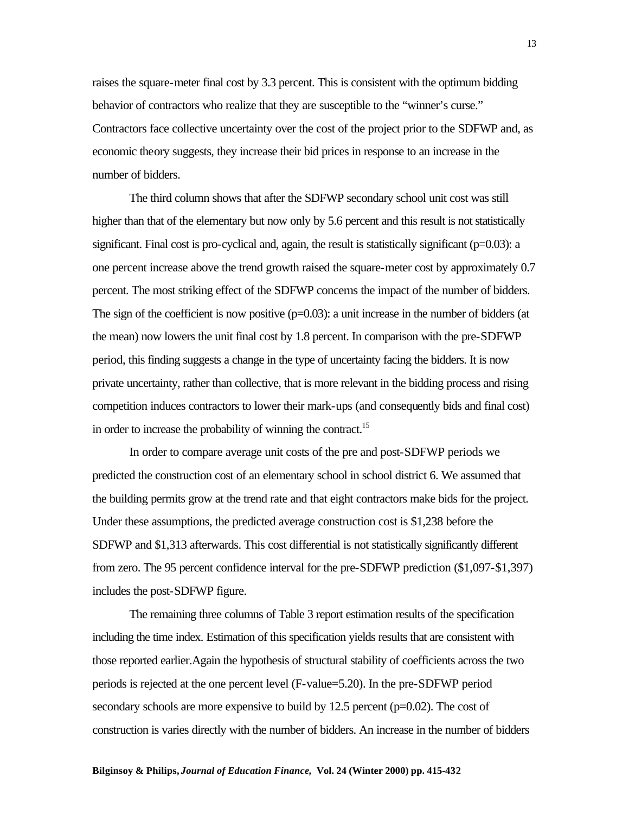raises the square-meter final cost by 3.3 percent. This is consistent with the optimum bidding behavior of contractors who realize that they are susceptible to the "winner's curse." Contractors face collective uncertainty over the cost of the project prior to the SDFWP and, as economic theory suggests, they increase their bid prices in response to an increase in the number of bidders.

The third column shows that after the SDFWP secondary school unit cost was still higher than that of the elementary but now only by 5.6 percent and this result is not statistically significant. Final cost is pro-cyclical and, again, the result is statistically significant  $(p=0.03)$ : a one percent increase above the trend growth raised the square-meter cost by approximately 0.7 percent. The most striking effect of the SDFWP concerns the impact of the number of bidders. The sign of the coefficient is now positive  $(p=0.03)$ : a unit increase in the number of bidders (at the mean) now lowers the unit final cost by 1.8 percent. In comparison with the pre-SDFWP period, this finding suggests a change in the type of uncertainty facing the bidders. It is now private uncertainty, rather than collective, that is more relevant in the bidding process and rising competition induces contractors to lower their mark-ups (and consequently bids and final cost) in order to increase the probability of winning the contract.<sup>15</sup>

In order to compare average unit costs of the pre and post-SDFWP periods we predicted the construction cost of an elementary school in school district 6. We assumed that the building permits grow at the trend rate and that eight contractors make bids for the project. Under these assumptions, the predicted average construction cost is \$1,238 before the SDFWP and \$1,313 afterwards. This cost differential is not statistically significantly different from zero. The 95 percent confidence interval for the pre-SDFWP prediction (\$1,097-\$1,397) includes the post-SDFWP figure.

The remaining three columns of Table 3 report estimation results of the specification including the time index. Estimation of this specification yields results that are consistent with those reported earlier.Again the hypothesis of structural stability of coefficients across the two periods is rejected at the one percent level (F-value=5.20). In the pre-SDFWP period secondary schools are more expensive to build by  $12.5$  percent ( $p=0.02$ ). The cost of construction is varies directly with the number of bidders. An increase in the number of bidders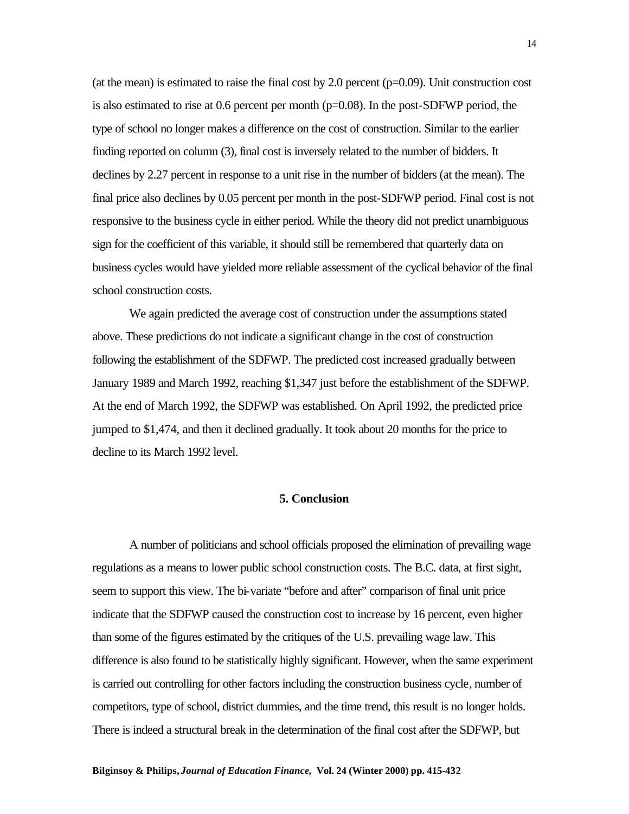(at the mean) is estimated to raise the final cost by 2.0 percent  $(p=0.09)$ . Unit construction cost is also estimated to rise at 0.6 percent per month  $(p=0.08)$ . In the post-SDFWP period, the type of school no longer makes a difference on the cost of construction. Similar to the earlier finding reported on column (3), final cost is inversely related to the number of bidders. It declines by 2.27 percent in response to a unit rise in the number of bidders (at the mean). The final price also declines by 0.05 percent per month in the post-SDFWP period. Final cost is not responsive to the business cycle in either period. While the theory did not predict unambiguous sign for the coefficient of this variable, it should still be remembered that quarterly data on business cycles would have yielded more reliable assessment of the cyclical behavior of the final school construction costs.

We again predicted the average cost of construction under the assumptions stated above. These predictions do not indicate a significant change in the cost of construction following the establishment of the SDFWP. The predicted cost increased gradually between January 1989 and March 1992, reaching \$1,347 just before the establishment of the SDFWP. At the end of March 1992, the SDFWP was established. On April 1992, the predicted price jumped to \$1,474, and then it declined gradually. It took about 20 months for the price to decline to its March 1992 level.

#### **5. Conclusion**

A number of politicians and school officials proposed the elimination of prevailing wage regulations as a means to lower public school construction costs. The B.C. data, at first sight, seem to support this view. The bi-variate "before and after" comparison of final unit price indicate that the SDFWP caused the construction cost to increase by 16 percent, even higher than some of the figures estimated by the critiques of the U.S. prevailing wage law. This difference is also found to be statistically highly significant. However, when the same experiment is carried out controlling for other factors including the construction business cycle, number of competitors, type of school, district dummies, and the time trend, this result is no longer holds. There is indeed a structural break in the determination of the final cost after the SDFWP, but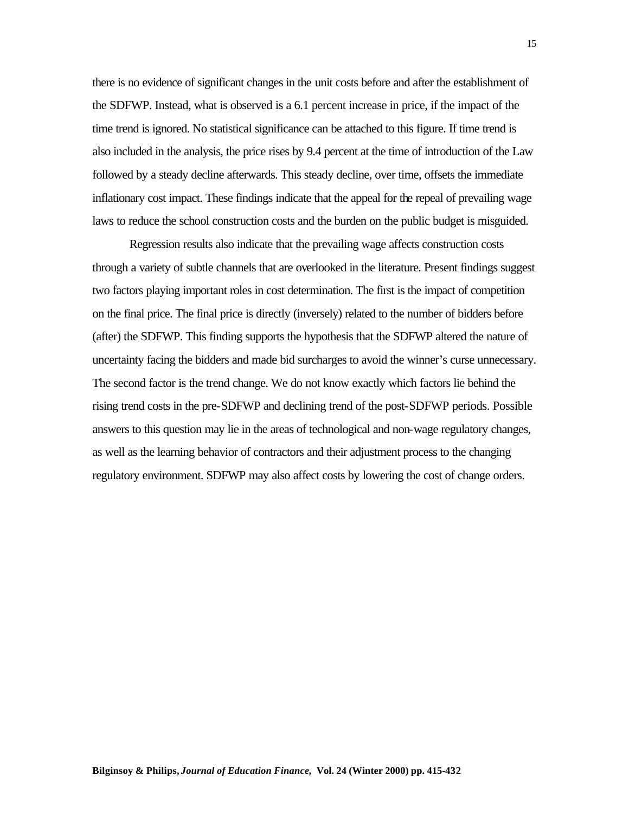there is no evidence of significant changes in the unit costs before and after the establishment of the SDFWP. Instead, what is observed is a 6.1 percent increase in price, if the impact of the time trend is ignored. No statistical significance can be attached to this figure. If time trend is also included in the analysis, the price rises by 9.4 percent at the time of introduction of the Law followed by a steady decline afterwards. This steady decline, over time, offsets the immediate inflationary cost impact. These findings indicate that the appeal for the repeal of prevailing wage laws to reduce the school construction costs and the burden on the public budget is misguided.

Regression results also indicate that the prevailing wage affects construction costs through a variety of subtle channels that are overlooked in the literature. Present findings suggest two factors playing important roles in cost determination. The first is the impact of competition on the final price. The final price is directly (inversely) related to the number of bidders before (after) the SDFWP. This finding supports the hypothesis that the SDFWP altered the nature of uncertainty facing the bidders and made bid surcharges to avoid the winner's curse unnecessary. The second factor is the trend change. We do not know exactly which factors lie behind the rising trend costs in the pre-SDFWP and declining trend of the post-SDFWP periods. Possible answers to this question may lie in the areas of technological and non-wage regulatory changes, as well as the learning behavior of contractors and their adjustment process to the changing regulatory environment. SDFWP may also affect costs by lowering the cost of change orders.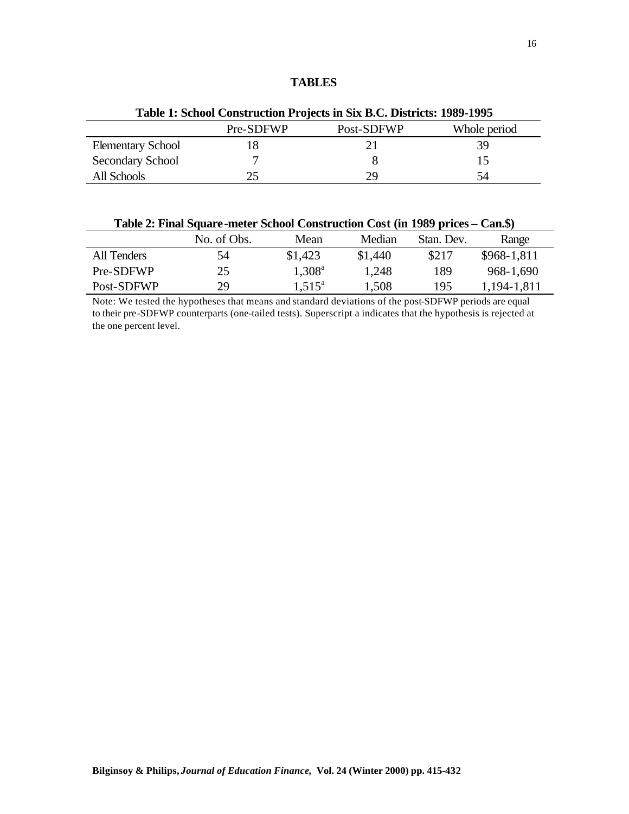## **TABLES**

| Table 1: School Construction Projects in Six B.C. Districts: 1989-1995 |           |            |              |  |  |  |  |
|------------------------------------------------------------------------|-----------|------------|--------------|--|--|--|--|
|                                                                        | Pre-SDFWP | Post-SDFWP | Whole period |  |  |  |  |
| <b>Elementary School</b>                                               | 18        |            | 39           |  |  |  |  |
| Secondary School                                                       |           |            | 15           |  |  |  |  |
| All Schools                                                            |           | 29         | 54           |  |  |  |  |

| Table 2: Final Square-meter School Construction Cost (in 1989 prices – Can.\$) |             |                 |         |            |              |  |  |  |
|--------------------------------------------------------------------------------|-------------|-----------------|---------|------------|--------------|--|--|--|
|                                                                                | No. of Obs. | Mean            | Median  | Stan, Dev. | Range        |  |  |  |
| All Tenders                                                                    | 54          | \$1,423         | \$1,440 | \$217      | $$968-1,811$ |  |  |  |
| Pre-SDFWP                                                                      | 25          | $1,308^{\rm a}$ | 1,248   | 189        | 968-1,690    |  |  |  |
| Post-SDFWP                                                                     | 29          | $1.515^a$       | 1,508   | 195        | 1,194-1,811  |  |  |  |

Note: We tested the hypotheses that means and standard deviations of the post-SDFWP periods are equal to their pre-SDFWP counterparts (one-tailed tests). Superscript a indicates that the hypothesis is rejected at the one percent level.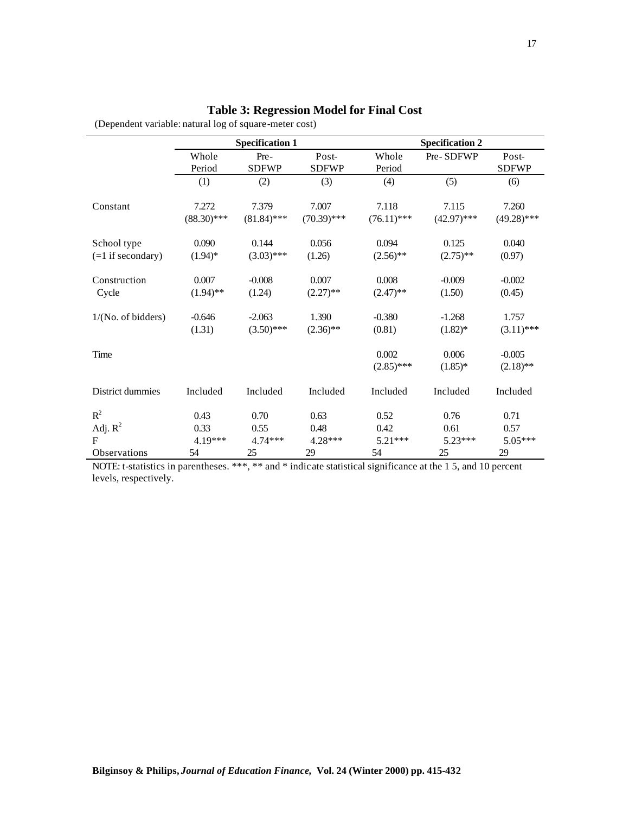# **Table 3: Regression Model for Final Cost**

(Dependent variable: natural log of square-meter cost)

|                     | <b>Specification 1</b> |               |               | <b>Specification 2</b> |               |               |
|---------------------|------------------------|---------------|---------------|------------------------|---------------|---------------|
|                     | Whole                  | Pre-          | Post-         | Whole                  | Pre-SDFWP     | Post-         |
|                     | Period                 | <b>SDFWP</b>  | <b>SDFWP</b>  | Period                 |               | <b>SDFWP</b>  |
|                     | (1)                    | (2)           | (3)           | (4)                    | (5)           | (6)           |
| Constant            | 7.272                  | 7.379         | 7.007         | 7.118                  | 7.115         | 7.260         |
|                     | $(88.30)$ ***          | $(81.84)$ *** | $(70.39)$ *** | $(76.11)$ ***          | $(42.97)$ *** | $(49.28)$ *** |
| School type         | 0.090                  | 0.144         | 0.056         | 0.094                  | 0.125         | 0.040         |
| $(=1$ if secondary) | $(1.94)$ *             | $(3.03)$ ***  | (1.26)        | $(2.56)$ **            | $(2.75)$ **   | (0.97)        |
| Construction        | 0.007                  | $-0.008$      | 0.007         | 0.008                  | $-0.009$      | $-0.002$      |
| Cycle               | $(1.94)$ **            | (1.24)        | $(2.27)$ **   | $(2.47)$ **            | (1.50)        | (0.45)        |
| 1/(No. of bidders)  | $-0.646$               | $-2.063$      | 1.390         | $-0.380$               | $-1.268$      | 1.757         |
|                     | (1.31)                 | $(3.50)$ ***  | $(2.36)$ **   | (0.81)                 | $(1.82)^*$    | $(3.11)$ ***  |
| Time                |                        |               |               | 0.002                  | 0.006         | $-0.005$      |
|                     |                        |               |               | $(2.85)$ ***           | $(1.85)^*$    | $(2.18)$ **   |
| District dummies    | Included               | Included      | Included      | Included               | Included      | Included      |
| $R^2$               | 0.43                   | 0.70          | 0.63          | 0.52                   | 0.76          | 0.71          |
| Adj. $R^2$          | 0.33                   | 0.55          | 0.48          | 0.42                   | 0.61          | 0.57          |
| $\mathbf{F}$        | 4.19***                | $4.74***$     | 4.28***       | $5.21***$              | $5.23***$     | $5.05***$     |
| Observations        | 54                     | 25            | 29            | 54                     | 25            | 29            |

NOTE: t-statistics in parentheses. \*\*\*, \*\* and \* indicate statistical significance at the 1 5, and 10 percent levels, respectively.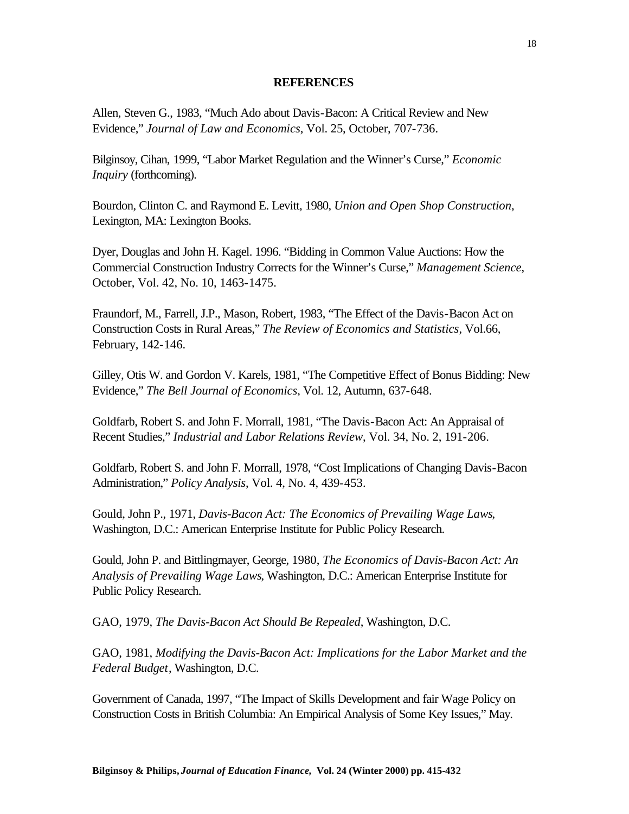### **REFERENCES**

Allen, Steven G., 1983, "Much Ado about Davis-Bacon: A Critical Review and New Evidence," *Journal of Law and Economics*, Vol. 25, October, 707-736.

Bilginsoy, Cihan, 1999, "Labor Market Regulation and the Winner's Curse," *Economic Inquiry* (forthcoming).

Bourdon, Clinton C. and Raymond E. Levitt, 1980, *Union and Open Shop Construction*, Lexington, MA: Lexington Books.

Dyer, Douglas and John H. Kagel. 1996. "Bidding in Common Value Auctions: How the Commercial Construction Industry Corrects for the Winner's Curse," *Management Science*, October, Vol. 42, No. 10, 1463-1475.

Fraundorf, M., Farrell, J.P., Mason, Robert, 1983, "The Effect of the Davis-Bacon Act on Construction Costs in Rural Areas," *The Review of Economics and Statistics*, Vol.66, February, 142-146.

Gilley, Otis W. and Gordon V. Karels, 1981, "The Competitive Effect of Bonus Bidding: New Evidence," *The Bell Journal of Economics*, Vol. 12, Autumn, 637-648.

Goldfarb, Robert S. and John F. Morrall, 1981, "The Davis-Bacon Act: An Appraisal of Recent Studies," *Industrial and Labor Relations Review*, Vol. 34, No. 2, 191-206.

Goldfarb, Robert S. and John F. Morrall, 1978, "Cost Implications of Changing Davis-Bacon Administration," *Policy Analysis*, Vol. 4, No. 4, 439-453.

Gould, John P., 1971, *Davis-Bacon Act: The Economics of Prevailing Wage Laws*, Washington, D.C.: American Enterprise Institute for Public Policy Research.

Gould, John P. and Bittlingmayer, George, 1980, *The Economics of Davis-Bacon Act: An Analysis of Prevailing Wage Laws*, Washington, D.C.: American Enterprise Institute for Public Policy Research.

GAO, 1979, *The Davis-Bacon Act Should Be Repealed*, Washington, D.C.

GAO, 1981, *Modifying the Davis-Bacon Act: Implications for the Labor Market and the Federal Budget*, Washington, D.C.

Government of Canada, 1997, "The Impact of Skills Development and fair Wage Policy on Construction Costs in British Columbia: An Empirical Analysis of Some Key Issues," May.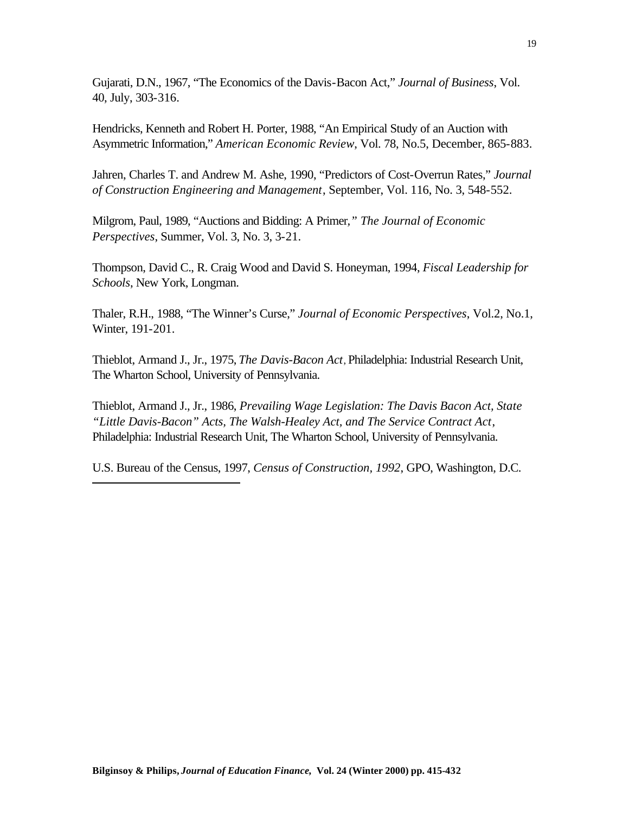Gujarati, D.N., 1967, "The Economics of the Davis-Bacon Act," *Journal of Business*, Vol. 40, July, 303-316.

Hendricks, Kenneth and Robert H. Porter, 1988, "An Empirical Study of an Auction with Asymmetric Information," *American Economic Review*, Vol. 78, No.5, December, 865-883.

Jahren, Charles T. and Andrew M. Ashe, 1990, "Predictors of Cost-Overrun Rates," *Journal of Construction Engineering and Management*, September, Vol. 116, No. 3, 548-552.

Milgrom, Paul, 1989, "Auctions and Bidding: A Primer*," The Journal of Economic Perspectives*, Summer, Vol. 3, No. 3, 3-21.

Thompson, David C., R. Craig Wood and David S. Honeyman, 1994, *Fiscal Leadership for Schools*, New York, Longman.

Thaler, R.H., 1988, "The Winner's Curse," *Journal of Economic Perspectives*, Vol.2, No.1, Winter, 191-201.

Thieblot, Armand J., Jr., 1975, *The Davis-Bacon Act*, Philadelphia: Industrial Research Unit, The Wharton School, University of Pennsylvania.

Thieblot, Armand J., Jr., 1986, *Prevailing Wage Legislation: The Davis Bacon Act, State "Little Davis-Bacon" Acts, The Walsh-Healey Act, and The Service Contract Act*, Philadelphia: Industrial Research Unit, The Wharton School, University of Pennsylvania.

U.S. Bureau of the Census, 1997, *Census of Construction, 1992*, GPO, Washington, D.C.

l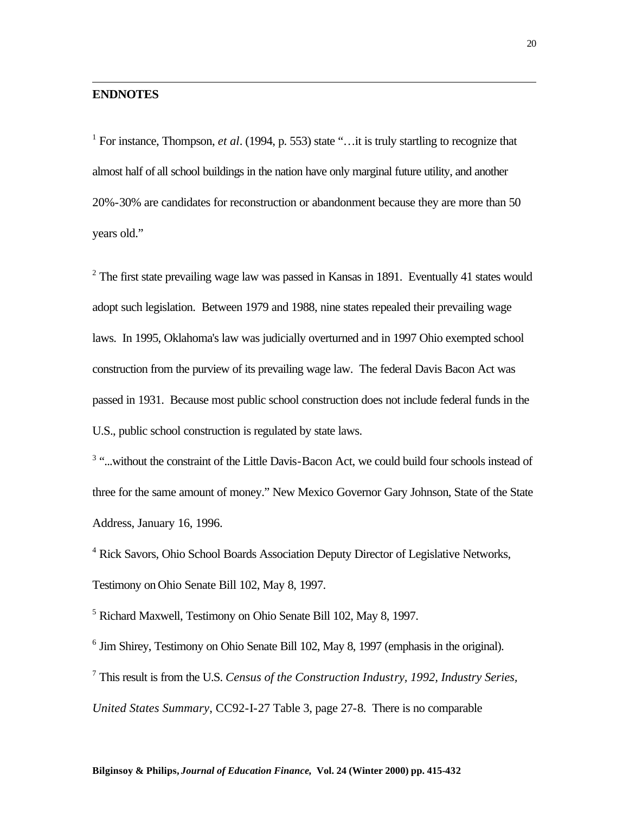# **ENDNOTES**

l

<sup>1</sup> For instance, Thompson, *et al.* (1994, p. 553) state "... it is truly startling to recognize that almost half of all school buildings in the nation have only marginal future utility, and another 20%-30% are candidates for reconstruction or abandonment because they are more than 50 years old."

 $2$  The first state prevailing wage law was passed in Kansas in 1891. Eventually 41 states would adopt such legislation. Between 1979 and 1988, nine states repealed their prevailing wage laws. In 1995, Oklahoma's law was judicially overturned and in 1997 Ohio exempted school construction from the purview of its prevailing wage law. The federal Davis Bacon Act was passed in 1931. Because most public school construction does not include federal funds in the U.S., public school construction is regulated by state laws.

<sup>3</sup> "...without the constraint of the Little Davis-Bacon Act, we could build four schools instead of three for the same amount of money." New Mexico Governor Gary Johnson, State of the State Address, January 16, 1996.

<sup>4</sup> Rick Savors, Ohio School Boards Association Deputy Director of Legislative Networks, Testimony on Ohio Senate Bill 102, May 8, 1997.

5 Richard Maxwell, Testimony on Ohio Senate Bill 102, May 8, 1997.

<sup>6</sup> Jim Shirey, Testimony on Ohio Senate Bill 102, May 8, 1997 (emphasis in the original).

7 This result is from the U.S. *Census of the Construction Industry, 1992, Industry Series, United States Summary*, CC92-I-27 Table 3, page 27-8. There is no comparable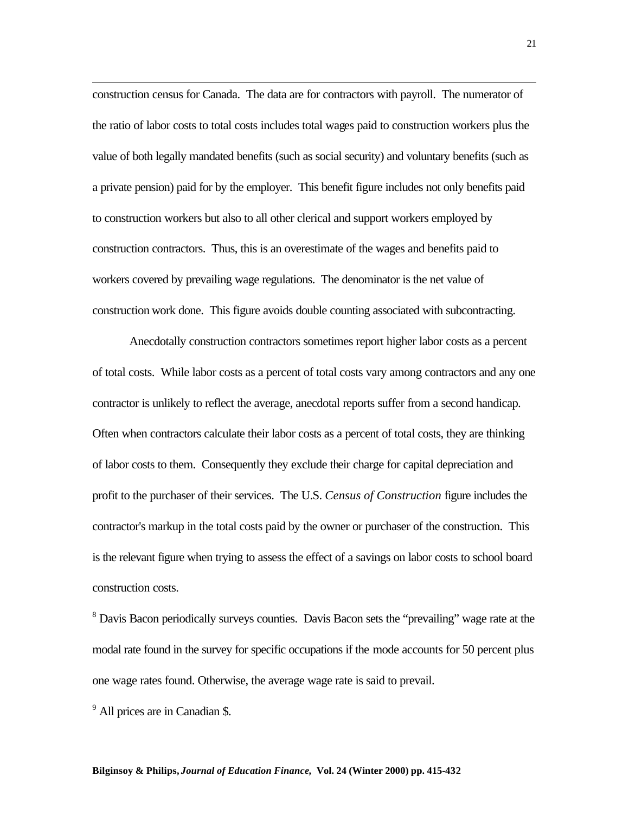construction census for Canada. The data are for contractors with payroll. The numerator of the ratio of labor costs to total costs includes total wages paid to construction workers plus the value of both legally mandated benefits (such as social security) and voluntary benefits (such as a private pension) paid for by the employer. This benefit figure includes not only benefits paid to construction workers but also to all other clerical and support workers employed by construction contractors. Thus, this is an overestimate of the wages and benefits paid to workers covered by prevailing wage regulations. The denominator is the net value of construction work done. This figure avoids double counting associated with subcontracting.

Anecdotally construction contractors sometimes report higher labor costs as a percent of total costs. While labor costs as a percent of total costs vary among contractors and any one contractor is unlikely to reflect the average, anecdotal reports suffer from a second handicap. Often when contractors calculate their labor costs as a percent of total costs, they are thinking of labor costs to them. Consequently they exclude their charge for capital depreciation and profit to the purchaser of their services. The U.S. *Census of Construction* figure includes the contractor's markup in the total costs paid by the owner or purchaser of the construction. This is the relevant figure when trying to assess the effect of a savings on labor costs to school board construction costs.

<sup>8</sup> Davis Bacon periodically surveys counties. Davis Bacon sets the "prevailing" wage rate at the modal rate found in the survey for specific occupations if the mode accounts for 50 percent plus one wage rates found. Otherwise, the average wage rate is said to prevail.

<sup>9</sup> All prices are in Canadian \$.

l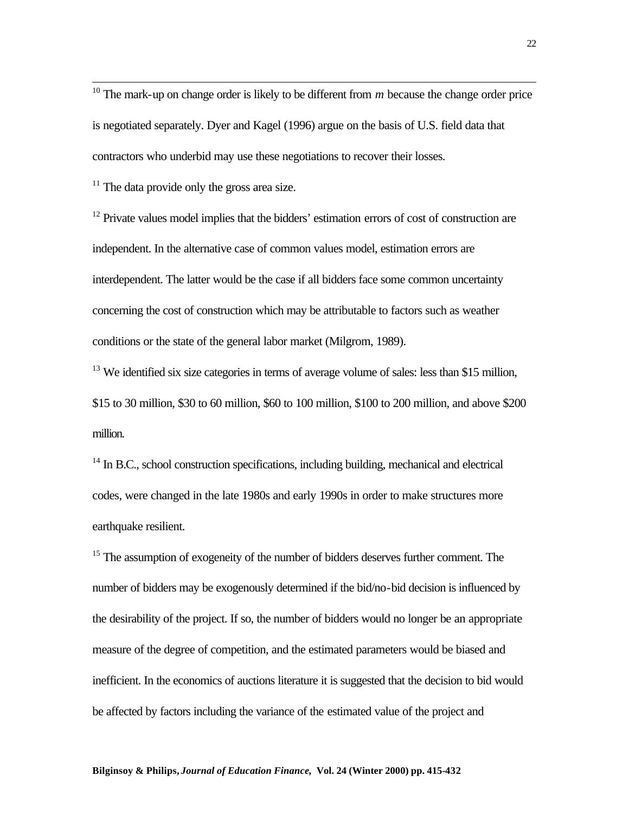<sup>10</sup> The mark-up on change order is likely to be different from  $m$  because the change order price is negotiated separately. Dyer and Kagel (1996) argue on the basis of U.S. field data that contractors who underbid may use these negotiations to recover their losses.

 $11$  The data provide only the gross area size.

l

<sup>12</sup> Private values model implies that the bidders' estimation errors of cost of construction are independent. In the alternative case of common values model, estimation errors are interdependent. The latter would be the case if all bidders face some common uncertainty concerning the cost of construction which may be attributable to factors such as weather conditions or the state of the general labor market (Milgrom, 1989).

<sup>13</sup> We identified six size categories in terms of average volume of sales: less than \$15 million, \$15 to 30 million, \$30 to 60 million, \$60 to 100 million, \$100 to 200 million, and above \$200 million.

 $14$  In B.C., school construction specifications, including building, mechanical and electrical codes, were changed in the late 1980s and early 1990s in order to make structures more earthquake resilient.

<sup>15</sup> The assumption of exogeneity of the number of bidders deserves further comment. The number of bidders may be exogenously determined if the bid/no-bid decision is influenced by the desirability of the project. If so, the number of bidders would no longer be an appropriate measure of the degree of competition, and the estimated parameters would be biased and inefficient. In the economics of auctions literature it is suggested that the decision to bid would be affected by factors including the variance of the estimated value of the project and